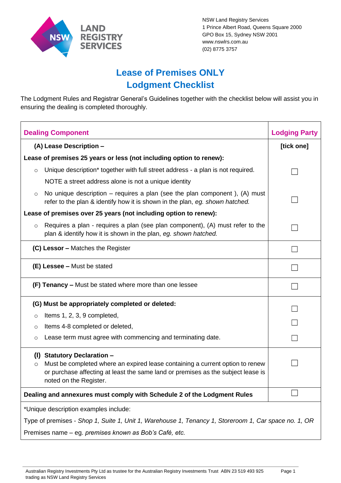

NSW Land Registry Services 1 Prince Albert Road, Queens Square 2000 GPO Box 15, Sydney NSW 2001 [www.nswlrs.com.au](http://www.nswlrs.com.au/) (02) 8775 3757

Page 1

## **Lease of Premises ONLY Lodgment Checklist**

The Lodgment Rules and Registrar General's Guidelines together with the checklist below will assist you in ensuring the dealing is completed thoroughly.

| <b>Dealing Component</b>                                                                             |                                                                                                                                                                                                                               | <b>Lodging Party</b> |  |  |
|------------------------------------------------------------------------------------------------------|-------------------------------------------------------------------------------------------------------------------------------------------------------------------------------------------------------------------------------|----------------------|--|--|
| (A) Lease Description -                                                                              |                                                                                                                                                                                                                               | [tick one]           |  |  |
| Lease of premises 25 years or less (not including option to renew):                                  |                                                                                                                                                                                                                               |                      |  |  |
| $\circ$                                                                                              | Unique description* together with full street address - a plan is not required.                                                                                                                                               |                      |  |  |
|                                                                                                      | NOTE a street address alone is not a unique identity                                                                                                                                                                          |                      |  |  |
| $\circ$                                                                                              | No unique description $-$ requires a plan (see the plan component), (A) must<br>refer to the plan & identify how it is shown in the plan, eg. shown hatched.                                                                  |                      |  |  |
| Lease of premises over 25 years (not including option to renew):                                     |                                                                                                                                                                                                                               |                      |  |  |
| $\circ$                                                                                              | Requires a plan - requires a plan (see plan component), (A) must refer to the<br>plan & identify how it is shown in the plan, eg. shown hatched.                                                                              |                      |  |  |
|                                                                                                      | (C) Lessor - Matches the Register                                                                                                                                                                                             |                      |  |  |
|                                                                                                      | (E) Lessee - Must be stated                                                                                                                                                                                                   |                      |  |  |
|                                                                                                      | (F) Tenancy - Must be stated where more than one lessee                                                                                                                                                                       |                      |  |  |
| (G) Must be appropriately completed or deleted:                                                      |                                                                                                                                                                                                                               |                      |  |  |
| O                                                                                                    | Items 1, 2, 3, 9 completed,                                                                                                                                                                                                   |                      |  |  |
| O                                                                                                    | Items 4-8 completed or deleted,                                                                                                                                                                                               |                      |  |  |
| O                                                                                                    | Lease term must agree with commencing and terminating date.                                                                                                                                                                   |                      |  |  |
| (1)<br>O                                                                                             | <b>Statutory Declaration -</b><br>Must be completed where an expired lease containing a current option to renew<br>or purchase affecting at least the same land or premises as the subject lease is<br>noted on the Register. |                      |  |  |
| Dealing and annexures must comply with Schedule 2 of the Lodgment Rules                              |                                                                                                                                                                                                                               |                      |  |  |
| *Unique description examples include:                                                                |                                                                                                                                                                                                                               |                      |  |  |
| Type of premises - Shop 1, Suite 1, Unit 1, Warehouse 1, Tenancy 1, Storeroom 1, Car space no. 1, OR |                                                                                                                                                                                                                               |                      |  |  |
|                                                                                                      | Premises name - eg. premises known as Bob's Café, etc.                                                                                                                                                                        |                      |  |  |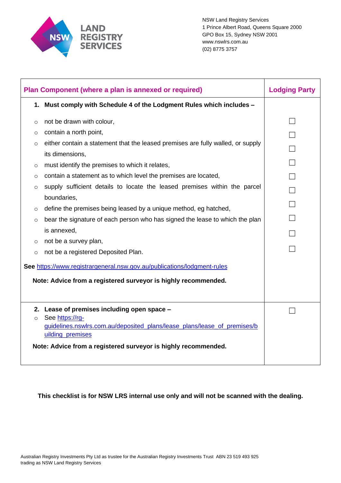

| Plan Component (where a plan is annexed or required)                    |                                                                                             | <b>Lodging Party</b> |
|-------------------------------------------------------------------------|---------------------------------------------------------------------------------------------|----------------------|
|                                                                         | 1. Must comply with Schedule 4 of the Lodgment Rules which includes -                       |                      |
| O                                                                       | not be drawn with colour,                                                                   |                      |
| $\circ$                                                                 | contain a north point,                                                                      |                      |
| $\circ$                                                                 | either contain a statement that the leased premises are fully walled, or supply             |                      |
|                                                                         | its dimensions,                                                                             |                      |
| $\circ$                                                                 | must identify the premises to which it relates,                                             |                      |
| $\circ$                                                                 | contain a statement as to which level the premises are located,                             |                      |
| $\circ$                                                                 | supply sufficient details to locate the leased premises within the parcel                   |                      |
|                                                                         | boundaries,                                                                                 |                      |
| $\circ$                                                                 | define the premises being leased by a unique method, eg hatched,                            |                      |
| $\circ$                                                                 | bear the signature of each person who has signed the lease to which the plan                |                      |
|                                                                         | is annexed,                                                                                 |                      |
| $\circ$                                                                 | not be a survey plan,                                                                       |                      |
| $\circ$                                                                 | not be a registered Deposited Plan.                                                         |                      |
| See https://www.registrargeneral.nsw.gov.au/publications/lodgment-rules |                                                                                             |                      |
| Note: Advice from a registered surveyor is highly recommended.          |                                                                                             |                      |
|                                                                         |                                                                                             |                      |
|                                                                         | 2. Lease of premises including open space -                                                 |                      |
| $\circ$                                                                 | See https://rg-<br>guidelines.nswlrs.com.au/deposited plans/lease plans/lease of premises/b |                      |
|                                                                         | uilding premises                                                                            |                      |
|                                                                         |                                                                                             |                      |
|                                                                         | Note: Advice from a registered surveyor is highly recommended.                              |                      |
|                                                                         |                                                                                             |                      |

**This checklist is for NSW LRS internal use only and will not be scanned with the dealing.**